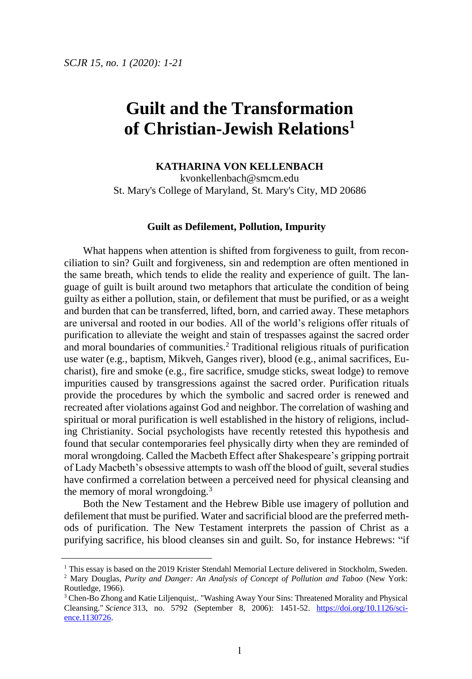# **Guilt and the Transformation of Christian-Jewish Relations<sup>1</sup>**

## **KATHARINA VON KELLENBACH**

kvonkellenbach@smcm.edu St. Mary's College of Maryland, St. Mary's City, MD 20686

#### **Guilt as Defilement, Pollution, Impurity**

What happens when attention is shifted from forgiveness to guilt, from reconciliation to sin? Guilt and forgiveness, sin and redemption are often mentioned in the same breath, which tends to elide the reality and experience of guilt. The language of guilt is built around two metaphors that articulate the condition of being guilty as either a pollution, stain, or defilement that must be purified, or as a weight and burden that can be transferred, lifted, born, and carried away. These metaphors are universal and rooted in our bodies. All of the world's religions offer rituals of purification to alleviate the weight and stain of trespasses against the sacred order and moral boundaries of communities.<sup>2</sup> Traditional religious rituals of purification use water (e.g., baptism, Mikveh, Ganges river), blood (e.g., animal sacrifices, Eucharist), fire and smoke (e.g., fire sacrifice, smudge sticks, sweat lodge) to remove impurities caused by transgressions against the sacred order. Purification rituals provide the procedures by which the symbolic and sacred order is renewed and recreated after violations against God and neighbor. The correlation of washing and spiritual or moral purification is well established in the history of religions, including Christianity. Social psychologists have recently retested this hypothesis and found that secular contemporaries feel physically dirty when they are reminded of moral wrongdoing. Called the Macbeth Effect after Shakespeare's gripping portrait of Lady Macbeth's obsessive attempts to wash off the blood of guilt, several studies have confirmed a correlation between a perceived need for physical cleansing and the memory of moral wrongdoing.<sup>3</sup>

Both the New Testament and the Hebrew Bible use imagery of pollution and defilement that must be purified. Water and sacrificial blood are the preferred methods of purification. The New Testament interprets the passion of Christ as a purifying sacrifice, his blood cleanses sin and guilt. So, for instance Hebrews: "if

<sup>&</sup>lt;sup>1</sup> This essay is based on the 2019 Krister Stendahl Memorial Lecture delivered in Stockholm, Sweden.

<sup>2</sup> Mary Douglas, *Purity and Danger: An Analysis of Concept of Pollution and Taboo* (New York: Routledge, 1966).

<sup>3</sup> Chen-Bo Zhong and Katie Liljenquist,. "Washing Away Your Sins: Threatened Morality and Physical Cleansing." *Science* 313, no. 5792 (September 8, 2006): 1451-52. [https://doi.org/10.1126/sci](https://doi.org/10.1126/science.1130726)[ence.1130726.](https://doi.org/10.1126/science.1130726)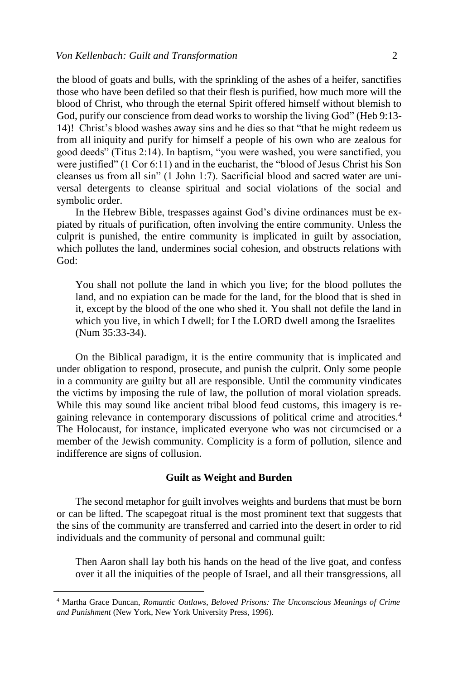the blood of goats and bulls, with the sprinkling of the ashes of a heifer, sanctifies those who have been defiled so that their flesh is purified, how much more will the blood of Christ, who through the eternal Spirit offered himself without blemish to God, purify our conscience from dead works to worship the living God" (Heb 9:13- 14)! Christ's blood washes away sins and he dies so that "that he might redeem us from all iniquity and purify for himself a people of his own who are zealous for good deeds" (Titus 2:14). In baptism, "you were washed, you were sanctified, you were justified" (1 Cor 6:11) and in the eucharist, the "blood of Jesus Christ his Son cleanses us from all sin" (1 John 1:7). Sacrificial blood and sacred water are universal detergents to cleanse spiritual and social violations of the social and symbolic order.

In the Hebrew Bible, trespasses against God's divine ordinances must be expiated by rituals of purification, often involving the entire community. Unless the culprit is punished, the entire community is implicated in guilt by association, which pollutes the land, undermines social cohesion, and obstructs relations with God:

You shall not pollute the land in which you live; for the blood pollutes the land, and no expiation can be made for the land, for the blood that is shed in it, except by the blood of the one who shed it. You shall not defile the land in which you live, in which I dwell; for I the LORD dwell among the Israelites (Num 35:33-34).

On the Biblical paradigm, it is the entire community that is implicated and under obligation to respond, prosecute, and punish the culprit. Only some people in a community are guilty but all are responsible. Until the community vindicates the victims by imposing the rule of law, the pollution of moral violation spreads. While this may sound like ancient tribal blood feud customs, this imagery is regaining relevance in contemporary discussions of political crime and atrocities.<sup>4</sup> The Holocaust, for instance, implicated everyone who was not circumcised or a member of the Jewish community. Complicity is a form of pollution, silence and indifference are signs of collusion.

#### **Guilt as Weight and Burden**

The second metaphor for guilt involves weights and burdens that must be born or can be lifted. The scapegoat ritual is the most prominent text that suggests that the sins of the community are transferred and carried into the desert in order to rid individuals and the community of personal and communal guilt:

Then Aaron shall lay both his hands on the head of the live goat, and confess over it all the iniquities of the people of Israel, and all their transgressions, all

<sup>4</sup> Martha Grace Duncan, *Romantic Outlaws, Beloved Prisons: The Unconscious Meanings of Crime and Punishment* (New York, New York University Press, 1996).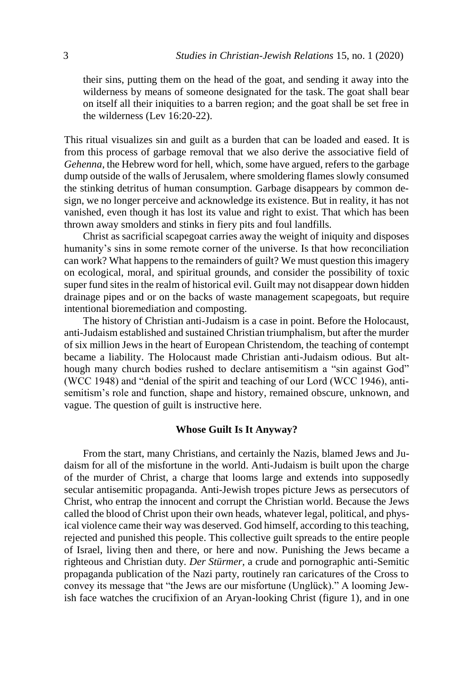their sins, putting them on the head of the goat, and sending it away into the wilderness by means of someone designated for the task. The goat shall bear on itself all their iniquities to a barren region; and the goat shall be set free in the wilderness (Lev 16:20-22).

This ritual visualizes sin and guilt as a burden that can be loaded and eased. It is from this process of garbage removal that we also derive the associative field of *Gehenna*, the Hebrew word for hell, which, some have argued, refers to the garbage dump outside of the walls of Jerusalem, where smoldering flames slowly consumed the stinking detritus of human consumption. Garbage disappears by common design, we no longer perceive and acknowledge its existence. But in reality, it has not vanished, even though it has lost its value and right to exist. That which has been thrown away smolders and stinks in fiery pits and foul landfills.

Christ as sacrificial scapegoat carries away the weight of iniquity and disposes humanity's sins in some remote corner of the universe. Is that how reconciliation can work? What happens to the remainders of guilt? We must question this imagery on ecological, moral, and spiritual grounds, and consider the possibility of toxic super fund sites in the realm of historical evil. Guilt may not disappear down hidden drainage pipes and or on the backs of waste management scapegoats, but require intentional bioremediation and composting.

The history of Christian anti-Judaism is a case in point. Before the Holocaust, anti-Judaism established and sustained Christian triumphalism, but after the murder of six million Jews in the heart of European Christendom, the teaching of contempt became a liability. The Holocaust made Christian anti-Judaism odious. But although many church bodies rushed to declare antisemitism a "sin against God" (WCC 1948) and "denial of the spirit and teaching of our Lord (WCC 1946), antisemitism's role and function, shape and history, remained obscure, unknown, and vague. The question of guilt is instructive here.

#### **Whose Guilt Is It Anyway?**

From the start, many Christians, and certainly the Nazis, blamed Jews and Judaism for all of the misfortune in the world. Anti-Judaism is built upon the charge of the murder of Christ, a charge that looms large and extends into supposedly secular antisemitic propaganda. Anti-Jewish tropes picture Jews as persecutors of Christ, who entrap the innocent and corrupt the Christian world. Because the Jews called the blood of Christ upon their own heads, whatever legal, political, and physical violence came their way was deserved. God himself, according to this teaching, rejected and punished this people. This collective guilt spreads to the entire people of Israel, living then and there, or here and now. Punishing the Jews became a righteous and Christian duty. *Der Stürmer,* a crude and pornographic anti-Semitic propaganda publication of the Nazi party, routinely ran caricatures of the Cross to convey its message that "the Jews are our misfortune (Unglück)." A looming Jewish face watches the crucifixion of an Aryan-looking Christ (figure 1), and in one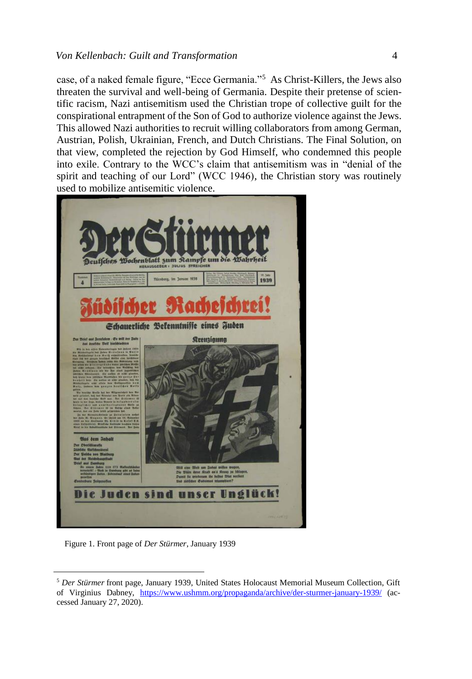#### *Von Kellenbach: Guilt and Transformation* 4

case, of a naked female figure, "Ecce Germania."<sup>5</sup> As Christ-Killers, the Jews also threaten the survival and well-being of Germania. Despite their pretense of scientific racism, Nazi antisemitism used the Christian trope of collective guilt for the conspirational entrapment of the Son of God to authorize violence against the Jews. This allowed Nazi authorities to recruit willing collaborators from among German, Austrian, Polish, Ukrainian, French, and Dutch Christians. The Final Solution, on that view, completed the rejection by God Himself, who condemned this people into exile. Contrary to the WCC's claim that antisemitism was in "denial of the spirit and teaching of our Lord" (WCC 1946), the Christian story was routinely used to mobilize antisemitic violence.



Figure 1. Front page of *Der Stürmer*, January 1939

<sup>5</sup> *Der Stürmer* front page, January 1939, United States Holocaust Memorial Museum Collection, Gift of Virginius Dabney, <https://www.ushmm.org/propaganda/archive/der-sturmer-january-1939/> (accessed January 27, 2020).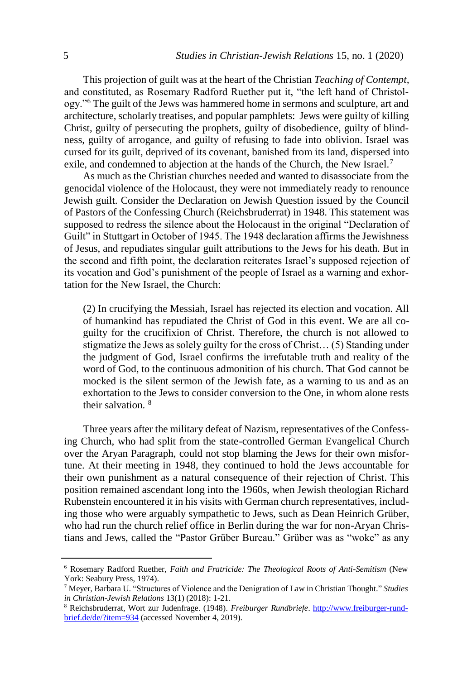This projection of guilt was at the heart of the Christian *Teaching of Contempt,*  and constituted, as Rosemary Radford Ruether put it, "the left hand of Christology."<sup>6</sup> The guilt of the Jews was hammered home in sermons and sculpture, art and architecture, scholarly treatises, and popular pamphlets: Jews were guilty of killing Christ, guilty of persecuting the prophets, guilty of disobedience, guilty of blindness, guilty of arrogance, and guilty of refusing to fade into oblivion. Israel was cursed for its guilt, deprived of its covenant, banished from its land, dispersed into exile, and condemned to abjection at the hands of the Church, the New Israel.<sup>7</sup>

As much as the Christian churches needed and wanted to disassociate from the genocidal violence of the Holocaust, they were not immediately ready to renounce Jewish guilt. Consider the Declaration on Jewish Question issued by the Council of Pastors of the Confessing Church (Reichsbruderrat) in 1948. This statement was supposed to redress the silence about the Holocaust in the original "Declaration of Guilt" in Stuttgart in October of 1945. The 1948 declaration affirms the Jewishness of Jesus, and repudiates singular guilt attributions to the Jews for his death. But in the second and fifth point, the declaration reiterates Israel's supposed rejection of its vocation and God's punishment of the people of Israel as a warning and exhortation for the New Israel, the Church:

(2) In crucifying the Messiah, Israel has rejected its election and vocation. All of humankind has repudiated the Christ of God in this event. We are all coguilty for the crucifixion of Christ. Therefore, the church is not allowed to stigmatize the Jews as solely guilty for the cross of Christ… (5) Standing under the judgment of God, Israel confirms the irrefutable truth and reality of the word of God, to the continuous admonition of his church. That God cannot be mocked is the silent sermon of the Jewish fate, as a warning to us and as an exhortation to the Jews to consider conversion to the One, in whom alone rests their salvation. <sup>8</sup>

Three years after the military defeat of Nazism, representatives of the Confessing Church, who had split from the state-controlled German Evangelical Church over the Aryan Paragraph, could not stop blaming the Jews for their own misfortune. At their meeting in 1948, they continued to hold the Jews accountable for their own punishment as a natural consequence of their rejection of Christ. This position remained ascendant long into the 1960s, when Jewish theologian Richard Rubenstein encountered it in his visits with German church representatives, including those who were arguably sympathetic to Jews, such as Dean Heinrich Grüber, who had run the church relief office in Berlin during the war for non-Aryan Christians and Jews, called the "Pastor Grüber Bureau." Grüber was as "woke" as any

<sup>6</sup> Rosemary Radford Ruether, *Faith and Fratricide: The Theological Roots of Anti-Semitism* (New York: Seabury Press, 1974).

<sup>7</sup> Meyer, Barbara U. "Structures of Violence and the Denigration of Law in Christian Thought." *Studies in Christian-Jewish Relations* 13(1) (2018): 1-21.

<sup>8</sup> Reichsbruderrat, Wort zur Judenfrage. (1948). *Freiburger Rundbriefe*. [http://www.freiburger-rund](http://www.freiburger-rundbrief.de/de/?item=934)[brief.de/de/?item=934](http://www.freiburger-rundbrief.de/de/?item=934) (accessed November 4, 2019).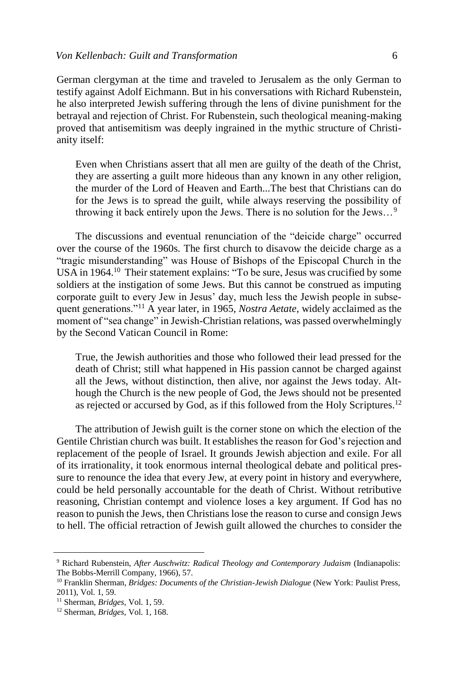German clergyman at the time and traveled to Jerusalem as the only German to testify against Adolf Eichmann. But in his conversations with Richard Rubenstein, he also interpreted Jewish suffering through the lens of divine punishment for the betrayal and rejection of Christ. For Rubenstein, such theological meaning-making proved that antisemitism was deeply ingrained in the mythic structure of Christianity itself:

Even when Christians assert that all men are guilty of the death of the Christ, they are asserting a guilt more hideous than any known in any other religion, the murder of the Lord of Heaven and Earth...The best that Christians can do for the Jews is to spread the guilt, while always reserving the possibility of throwing it back entirely upon the Jews. There is no solution for the Jews…<sup>9</sup>

The discussions and eventual renunciation of the "deicide charge" occurred over the course of the 1960s. The first church to disavow the deicide charge as a "tragic misunderstanding" was House of Bishops of the Episcopal Church in the USA in 1964.<sup>10</sup> Their statement explains: "To be sure, Jesus was crucified by some soldiers at the instigation of some Jews. But this cannot be construed as imputing corporate guilt to every Jew in Jesus' day, much less the Jewish people in subsequent generations."<sup>11</sup> A year later, in 1965, *Nostra Aetate*, widely acclaimed as the moment of "sea change" in Jewish-Christian relations, was passed overwhelmingly by the Second Vatican Council in Rome:

True, the Jewish authorities and those who followed their lead pressed for the death of Christ; still what happened in His passion cannot be charged against all the Jews, without distinction, then alive, nor against the Jews today. Although the Church is the new people of God, the Jews should not be presented as rejected or accursed by God, as if this followed from the Holy Scriptures.<sup>12</sup>

The attribution of Jewish guilt is the corner stone on which the election of the Gentile Christian church was built. It establishes the reason for God's rejection and replacement of the people of Israel. It grounds Jewish abjection and exile. For all of its irrationality, it took enormous internal theological debate and political pressure to renounce the idea that every Jew, at every point in history and everywhere, could be held personally accountable for the death of Christ. Without retributive reasoning, Christian contempt and violence loses a key argument. If God has no reason to punish the Jews, then Christians lose the reason to curse and consign Jews to hell. The official retraction of Jewish guilt allowed the churches to consider the

<sup>9</sup> Richard Rubenstein, *After Auschwitz: Radical Theology and Contemporary Judaism* (Indianapolis: The Bobbs-Merrill Company, 1966), 57.

<sup>10</sup> Franklin Sherman, *Bridges: Documents of the Christian-Jewish Dialogue* (New York: Paulist Press, 2011), Vol. 1, 59.

<sup>11</sup> Sherman, *Bridges*, Vol. 1, 59.

<sup>12</sup> Sherman, *Bridges*, Vol. 1, 168.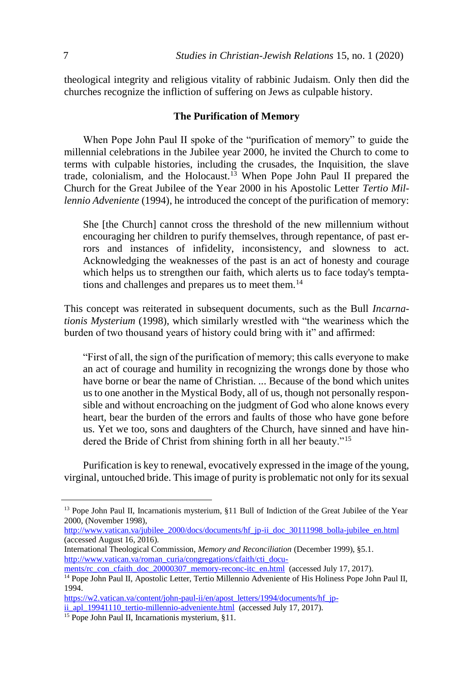theological integrity and religious vitality of rabbinic Judaism. Only then did the churches recognize the infliction of suffering on Jews as culpable history.

### **The Purification of Memory**

When Pope John Paul II spoke of the "purification of memory" to guide the millennial celebrations in the Jubilee year 2000, he invited the Church to come to terms with culpable histories, including the crusades, the Inquisition, the slave trade, colonialism, and the Holocaust.<sup>13</sup> When Pope John Paul II prepared the Church for the Great Jubilee of the Year 2000 in his Apostolic Letter *Tertio Millennio Adveniente* (1994), he introduced the concept of the purification of memory:

She [the Church] cannot cross the threshold of the new millennium without encouraging her children to purify themselves, through repentance, of past errors and instances of infidelity, inconsistency, and slowness to act. Acknowledging the weaknesses of the past is an act of honesty and courage which helps us to strengthen our faith, which alerts us to face today's temptations and challenges and prepares us to meet them.<sup>14</sup>

This concept was reiterated in subsequent documents, such as the Bull *Incarnationis Mysterium* (1998), which similarly wrestled with "the weariness which the burden of two thousand years of history could bring with it" and affirmed:

"First of all, the sign of the purification of memory; this calls everyone to make an act of courage and humility in recognizing the wrongs done by those who have borne or bear the name of Christian. ... Because of the bond which unites us to one another in the Mystical Body, all of us, though not personally responsible and without encroaching on the judgment of God who alone knows every heart, bear the burden of the errors and faults of those who have gone before us. Yet we too, sons and daughters of the Church, have sinned and have hindered the Bride of Christ from shining forth in all her beauty."<sup>15</sup>

Purification is key to renewal, evocatively expressed in the image of the young, virginal, untouched bride. This image of purity is problematic not only for its sexual

[http://www.vatican.va/jubilee\\_2000/docs/documents/hf\\_jp-ii\\_doc\\_30111998\\_bolla-jubilee\\_en.html](http://www.vatican.va/jubilee_2000/docs/documents/hf_jp-ii_doc_30111998_bolla-jubilee_en.html)  (accessed August 16, 2016)*.* 

<sup>&</sup>lt;sup>13</sup> Pope John Paul II, Incarnationis mysterium, §11 Bull of Indiction of the Great Jubilee of the Year 2000, (November 1998)*,* 

International Theological Commission, *Memory and Reconciliation* (December 1999), §5.1. [http://www.vatican.va/roman\\_curia/congregations/cfaith/cti\\_docu-](http://www.vatican.va/roman_curia/congregations/cfaith/cti_documents/rc_con_cfaith_doc_20000307_memory-reconc-itc_en.html)

[ments/rc\\_con\\_cfaith\\_doc\\_20000307\\_memory-reconc-itc\\_en.html](http://www.vatican.va/roman_curia/congregations/cfaith/cti_documents/rc_con_cfaith_doc_20000307_memory-reconc-itc_en.html) (accessed July 17, 2017).

<sup>&</sup>lt;sup>14</sup> Pope John Paul II, Apostolic Letter, Tertio Millennio Adveniente of His Holiness Pope John Paul II, 1994.

[https://w2.vatican.va/content/john-paul-ii/en/apost\\_letters/1994/documents/hf\\_jp-](https://w2.vatican.va/content/john-paul-ii/en/apost_letters/1994/documents/hf_jp-ii_apl_19941110_tertio-millennio-adveniente.html)

[ii\\_apl\\_19941110\\_tertio-millennio-adveniente.html](https://w2.vatican.va/content/john-paul-ii/en/apost_letters/1994/documents/hf_jp-ii_apl_19941110_tertio-millennio-adveniente.html) (accessed July 17, 2017).

<sup>&</sup>lt;sup>15</sup> Pope John Paul II, Incarnationis mysterium, §11.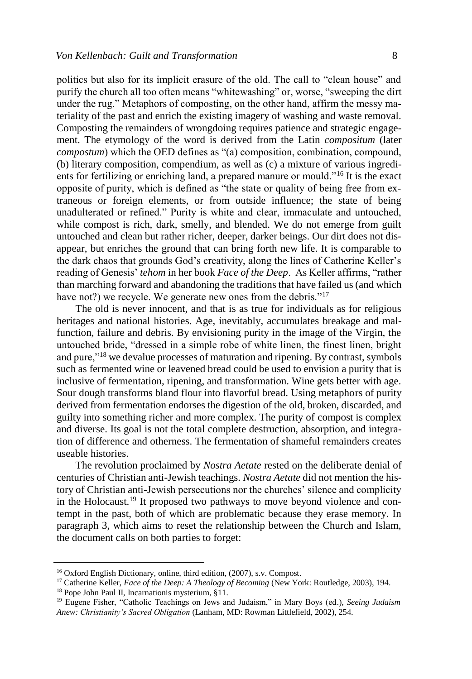politics but also for its implicit erasure of the old. The call to "clean house" and purify the church all too often means "whitewashing" or, worse, "sweeping the dirt under the rug." Metaphors of composting, on the other hand, affirm the messy materiality of the past and enrich the existing imagery of washing and waste removal. Composting the remainders of wrongdoing requires patience and strategic engagement. The etymology of the word is derived from the Latin *compositum* (later *compostum*) which the OED defines as "(a) composition, combination, compound, (b) literary composition, compendium, as well as (c) a mixture of various ingredients for fertilizing or enriching land, a prepared manure or mould."<sup>16</sup> It is the exact opposite of purity, which is defined as "the state or quality of being free from extraneous or foreign elements, or from outside influence; the state of being unadulterated or refined." Purity is white and clear, immaculate and untouched, while compost is rich, dark, smelly, and blended. We do not emerge from guilt untouched and clean but rather richer, deeper, darker beings. Our dirt does not disappear, but enriches the ground that can bring forth new life. It is comparable to the dark chaos that grounds God's creativity, along the lines of Catherine Keller's reading of Genesis' *tehom* in her book *Face of the Deep*. As Keller affirms, "rather than marching forward and abandoning the traditions that have failed us (and which have not?) we recycle. We generate new ones from the debris."<sup>17</sup>

The old is never innocent, and that is as true for individuals as for religious heritages and national histories. Age, inevitably, accumulates breakage and malfunction, failure and debris. By envisioning purity in the image of the Virgin, the untouched bride, "dressed in a simple robe of white linen, the finest linen, bright and pure,"<sup>18</sup> we devalue processes of maturation and ripening. By contrast, symbols such as fermented wine or leavened bread could be used to envision a purity that is inclusive of fermentation, ripening, and transformation. Wine gets better with age. Sour dough transforms bland flour into flavorful bread. Using metaphors of purity derived from fermentation endorses the digestion of the old, broken, discarded, and guilty into something richer and more complex. The purity of compost is complex and diverse. Its goal is not the total complete destruction, absorption, and integration of difference and otherness. The fermentation of shameful remainders creates useable histories.

The revolution proclaimed by *Nostra Aetate* rested on the deliberate denial of centuries of Christian anti-Jewish teachings. *Nostra Aetate* did not mention the history of Christian anti-Jewish persecutions nor the churches' silence and complicity in the Holocaust.<sup>19</sup> It proposed two pathways to move beyond violence and contempt in the past, both of which are problematic because they erase memory. In paragraph 3, which aims to reset the relationship between the Church and Islam, the document calls on both parties to forget:

<sup>&</sup>lt;sup>16</sup> Oxford English Dictionary, online, third edition, (2007), s.v. Compost.

<sup>17</sup> Catherine Keller, *Face of the Deep: A Theology of Becoming* (New York: Routledge, 2003), 194.

<sup>18</sup> Pope John Paul II, Incarnationis mysterium, §11*.*

<sup>19</sup> Eugene Fisher, "Catholic Teachings on Jews and Judaism," in Mary Boys (ed.), *Seeing Judaism Anew: Christianity's Sacred Obligation* (Lanham, MD: Rowman Littlefield, 2002), 254.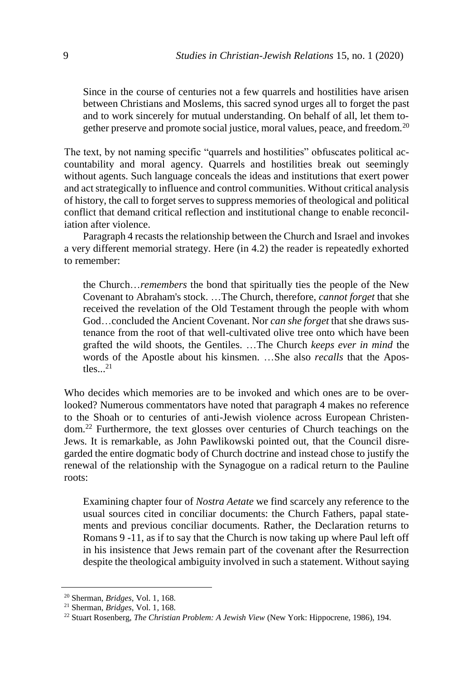Since in the course of centuries not a few quarrels and hostilities have arisen between Christians and Moslems, this sacred synod urges all to forget the past and to work sincerely for mutual understanding. On behalf of all, let them together preserve and promote social justice, moral values, peace, and freedom.<sup>20</sup>

The text, by not naming specific "quarrels and hostilities" obfuscates political accountability and moral agency. Quarrels and hostilities break out seemingly without agents. Such language conceals the ideas and institutions that exert power and act strategically to influence and control communities. Without critical analysis of history, the call to forget serves to suppress memories of theological and political conflict that demand critical reflection and institutional change to enable reconciliation after violence.

Paragraph 4 recasts the relationship between the Church and Israel and invokes a very different memorial strategy. Here (in 4.2) the reader is repeatedly exhorted to remember:

the Church…*remembers* the bond that spiritually ties the people of the New Covenant to Abraham's stock. …The Church, therefore, *cannot forget* that she received the revelation of the Old Testament through the people with whom God…concluded the Ancient Covenant. Nor *can she forget* that she draws sustenance from the root of that well-cultivated olive tree onto which have been grafted the wild shoots, the Gentiles. …The Church *keeps ever in mind* the words of the Apostle about his kinsmen. …She also *recalls* that the Apostles... 21

Who decides which memories are to be invoked and which ones are to be overlooked? Numerous commentators have noted that paragraph 4 makes no reference to the Shoah or to centuries of anti-Jewish violence across European Christendom.<sup>22</sup> Furthermore, the text glosses over centuries of Church teachings on the Jews. It is remarkable, as John Pawlikowski pointed out, that the Council disregarded the entire dogmatic body of Church doctrine and instead chose to justify the renewal of the relationship with the Synagogue on a radical return to the Pauline roots:

Examining chapter four of *Nostra Aetate* we find scarcely any reference to the usual sources cited in conciliar documents: the Church Fathers, papal statements and previous conciliar documents. Rather, the Declaration returns to Romans 9 -11, as if to say that the Church is now taking up where Paul left off in his insistence that Jews remain part of the covenant after the Resurrection despite the theological ambiguity involved in such a statement. Without saying

<sup>20</sup> Sherman, *Bridges*, Vol. 1, 168.

<sup>21</sup> Sherman, *Bridges*, Vol. 1, 168.

<sup>22</sup> Stuart Rosenberg, *The Christian Problem: A Jewish View* (New York: Hippocrene, 1986), 194.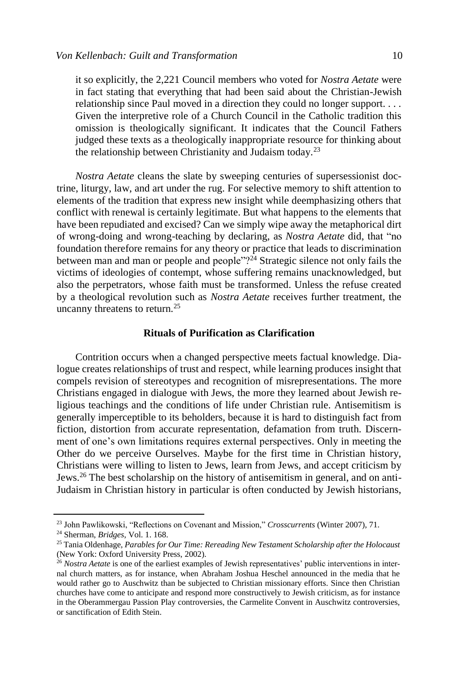it so explicitly, the 2,221 Council members who voted for *Nostra Aetate* were in fact stating that everything that had been said about the Christian-Jewish relationship since Paul moved in a direction they could no longer support. . . . Given the interpretive role of a Church Council in the Catholic tradition this omission is theologically significant. It indicates that the Council Fathers judged these texts as a theologically inappropriate resource for thinking about the relationship between Christianity and Judaism today.<sup>23</sup>

*Nostra Aetate* cleans the slate by sweeping centuries of supersessionist doctrine, liturgy, law, and art under the rug. For selective memory to shift attention to elements of the tradition that express new insight while deemphasizing others that conflict with renewal is certainly legitimate. But what happens to the elements that have been repudiated and excised? Can we simply wipe away the metaphorical dirt of wrong-doing and wrong-teaching by declaring, as *Nostra Aetate* did, that "no foundation therefore remains for any theory or practice that leads to discrimination between man and man or people and people" $2<sup>24</sup>$  Strategic silence not only fails the victims of ideologies of contempt, whose suffering remains unacknowledged, but also the perpetrators, whose faith must be transformed. Unless the refuse created by a theological revolution such as *Nostra Aetate* receives further treatment, the uncanny threatens to return.<sup>25</sup>

#### **Rituals of Purification as Clarification**

Contrition occurs when a changed perspective meets factual knowledge. Dialogue creates relationships of trust and respect, while learning produces insight that compels revision of stereotypes and recognition of misrepresentations. The more Christians engaged in dialogue with Jews, the more they learned about Jewish religious teachings and the conditions of life under Christian rule. Antisemitism is generally imperceptible to its beholders, because it is hard to distinguish fact from fiction, distortion from accurate representation, defamation from truth. Discernment of one's own limitations requires external perspectives. Only in meeting the Other do we perceive Ourselves. Maybe for the first time in Christian history, Christians were willing to listen to Jews, learn from Jews, and accept criticism by Jews.<sup>26</sup> The best scholarship on the history of antisemitism in general, and on anti-Judaism in Christian history in particular is often conducted by Jewish historians,

<sup>23</sup> John Pawlikowski, "Reflections on Covenant and Mission," *Crosscurrents* (Winter 2007), 71.

<sup>24</sup> Sherman, *Bridges*, Vol. 1. 168.

<sup>25</sup> Tania Oldenhage, *Parables for Our Time: Rereading New Testament Scholarship after the Holocaust*  (New York: Oxford University Press, 2002).

<sup>&</sup>lt;sup>26</sup> *Nostra Aetate* is one of the earliest examples of Jewish representatives' public interventions in internal church matters, as for instance, when Abraham Joshua Heschel announced in the media that he would rather go to Auschwitz than be subjected to Christian missionary efforts. Since then Christian churches have come to anticipate and respond more constructively to Jewish criticism, as for instance in the Oberammergau Passion Play controversies, the Carmelite Convent in Auschwitz controversies, or sanctification of Edith Stein.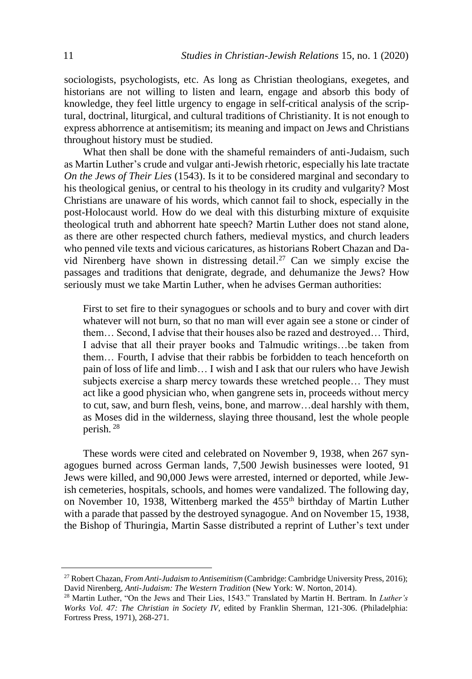sociologists, psychologists, etc. As long as Christian theologians, exegetes, and historians are not willing to listen and learn, engage and absorb this body of knowledge, they feel little urgency to engage in self-critical analysis of the scriptural, doctrinal, liturgical, and cultural traditions of Christianity. It is not enough to express abhorrence at antisemitism; its meaning and impact on Jews and Christians throughout history must be studied.

What then shall be done with the shameful remainders of anti-Judaism, such as Martin Luther's crude and vulgar anti-Jewish rhetoric, especially his late tractate *On the Jews of Their Lies* (1543). Is it to be considered marginal and secondary to his theological genius, or central to his theology in its crudity and vulgarity? Most Christians are unaware of his words, which cannot fail to shock, especially in the post-Holocaust world. How do we deal with this disturbing mixture of exquisite theological truth and abhorrent hate speech? Martin Luther does not stand alone, as there are other respected church fathers, medieval mystics, and church leaders who penned vile texts and vicious caricatures, as historians Robert Chazan and David Nirenberg have shown in distressing detail. <sup>27</sup> Can we simply excise the passages and traditions that denigrate, degrade, and dehumanize the Jews? How seriously must we take Martin Luther, when he advises German authorities:

First to set fire to their synagogues or schools and to bury and cover with dirt whatever will not burn, so that no man will ever again see a stone or cinder of them… Second, I advise that their houses also be razed and destroyed… Third, I advise that all their prayer books and Talmudic writings…be taken from them… Fourth, I advise that their rabbis be forbidden to teach henceforth on pain of loss of life and limb… I wish and I ask that our rulers who have Jewish subjects exercise a sharp mercy towards these wretched people… They must act like a good physician who, when gangrene sets in, proceeds without mercy to cut, saw, and burn flesh, veins, bone, and marrow…deal harshly with them, as Moses did in the wilderness, slaying three thousand, lest the whole people perish. <sup>28</sup>

These words were cited and celebrated on November 9, 1938, when 267 synagogues burned across German lands, 7,500 Jewish businesses were looted, 91 Jews were killed, and 90,000 Jews were arrested, interned or deported, while Jewish cemeteries, hospitals, schools, and homes were vandalized. The following day, on November 10, 1938, Wittenberg marked the 455<sup>th</sup> birthday of Martin Luther with a parade that passed by the destroyed synagogue. And on November 15, 1938, the Bishop of Thuringia, Martin Sasse distributed a reprint of Luther's text under

<sup>27</sup> Robert Chazan, *From Anti-Judaism to Antisemitism* (Cambridge: Cambridge University Press, 2016); David Nirenberg, *Anti-Judaism: The Western Tradition* (New York: W. Norton, 2014).

<sup>28</sup> Martin Luther, "On the Jews and Their Lies, 1543." Translated by Martin H. Bertram. In *Luther's Works Vol. 47: The Christian in Society IV*, edited by Franklin Sherman, 121-306. (Philadelphia: Fortress Press, 1971), 268-271.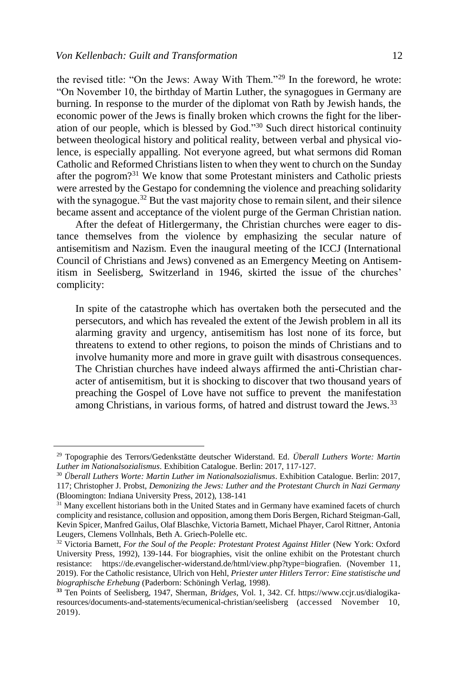the revised title: "On the Jews: Away With Them."<sup>29</sup> In the foreword, he wrote: "On November 10, the birthday of Martin Luther, the synagogues in Germany are burning. In response to the murder of the diplomat von Rath by Jewish hands, the economic power of the Jews is finally broken which crowns the fight for the liberation of our people, which is blessed by God."<sup>30</sup> Such direct historical continuity between theological history and political reality, between verbal and physical violence, is especially appalling. Not everyone agreed, but what sermons did Roman Catholic and Reformed Christians listen to when they went to church on the Sunday after the pogrom?<sup>31</sup> We know that some Protestant ministers and Catholic priests were arrested by the Gestapo for condemning the violence and preaching solidarity with the synagogue.<sup>32</sup> But the vast majority chose to remain silent, and their silence became assent and acceptance of the violent purge of the German Christian nation.

After the defeat of Hitlergermany, the Christian churches were eager to distance themselves from the violence by emphasizing the secular nature of antisemitism and Nazism. Even the inaugural meeting of the ICCJ (International Council of Christians and Jews) convened as an Emergency Meeting on Antisemitism in Seelisberg, Switzerland in 1946, skirted the issue of the churches' complicity:

In spite of the catastrophe which has overtaken both the persecuted and the persecutors, and which has revealed the extent of the Jewish problem in all its alarming gravity and urgency, antisemitism has lost none of its force, but threatens to extend to other regions, to poison the minds of Christians and to involve humanity more and more in grave guilt with disastrous consequences. The Christian churches have indeed always affirmed the anti-Christian character of antisemitism*,* but it is shocking to discover that two thousand years of preaching the Gospel of Love have not suffice to prevent the manifestation among Christians, in various forms, of hatred and distrust toward the Jews.<sup>33</sup>

<sup>29</sup> Topographie des Terrors/Gedenkstätte deutscher Widerstand. Ed. *Überall Luthers Worte: Martin Luther im Nationalsozialismus*. Exhibition Catalogue. Berlin: 2017, 117-127.

<sup>30</sup> *Überall Luthers Worte: Martin Luther im Nationalsozialismus*. Exhibition Catalogue. Berlin: 2017, 117; Christopher J. Probst, *Demonizing the Jews: Luther and the Protestant Church in Nazi Germany* (Bloomington: Indiana University Press, 2012), 138-141

<sup>&</sup>lt;sup>31</sup> Many excellent historians both in the United States and in Germany have examined facets of church complicity and resistance, collusion and opposition, among them Doris Bergen, Richard Steigman-Gall, Kevin Spicer, Manfred Gailus, Olaf Blaschke, Victoria Barnett, Michael Phayer, Carol Rittner, Antonia Leugers, Clemens Vollnhals, Beth A. Griech-Polelle etc.

<sup>32</sup> Victoria Barnett, *For the Soul of the People: Protestant Protest Against Hitler* (New York: Oxford University Press, 1992), 139-144. For biographies, visit the online exhibit on the Protestant church resistance: https://de.evangelischer-widerstand.de/html/view.php?type=biografien. (November 11, 2019). For the Catholic resistance, Ulrich von Hehl, *Priester unter Hitlers Terror: Eine statistische und biographische Erhebung* (Paderborn: Schöningh Verlag, 1998).

**<sup>33</sup>** Ten Points of Seelisberg, 1947, Sherman, *Bridges*, Vol. 1, 342. Cf. https://www.ccjr.us/dialogikaresources/documents-and-statements/ecumenical-christian/seelisberg (accessed November 10, 2019).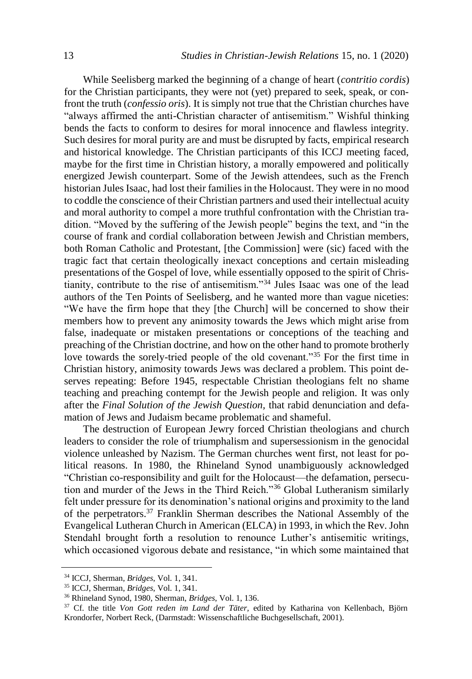While Seelisberg marked the beginning of a change of heart (*contritio cordis*) for the Christian participants, they were not (yet) prepared to seek, speak, or confront the truth (*confessio oris*). It is simply not true that the Christian churches have "always affirmed the anti-Christian character of antisemitism." Wishful thinking bends the facts to conform to desires for moral innocence and flawless integrity. Such desires for moral purity are and must be disrupted by facts, empirical research and historical knowledge. The Christian participants of this ICCJ meeting faced, maybe for the first time in Christian history, a morally empowered and politically energized Jewish counterpart. Some of the Jewish attendees, such as the French historian Jules Isaac, had lost their families in the Holocaust. They were in no mood to coddle the conscience of their Christian partners and used their intellectual acuity and moral authority to compel a more truthful confrontation with the Christian tradition. "Moved by the suffering of the Jewish people" begins the text, and "in the course of frank and cordial collaboration between Jewish and Christian members, both Roman Catholic and Protestant, [the Commission] were (sic) faced with the tragic fact that certain theologically inexact conceptions and certain misleading presentations of the Gospel of love, while essentially opposed to the spirit of Christianity, contribute to the rise of antisemitism."<sup>34</sup> Jules Isaac was one of the lead authors of the Ten Points of Seelisberg, and he wanted more than vague niceties: "We have the firm hope that they [the Church] will be concerned to show their members how to prevent any animosity towards the Jews which might arise from false, inadequate or mistaken presentations or conceptions of the teaching and preaching of the Christian doctrine, and how on the other hand to promote brotherly love towards the sorely-tried people of the old covenant."<sup>35</sup> For the first time in Christian history, animosity towards Jews was declared a problem. This point deserves repeating: Before 1945, respectable Christian theologians felt no shame teaching and preaching contempt for the Jewish people and religion. It was only after the *Final Solution of the Jewish Question,* that rabid denunciation and defamation of Jews and Judaism became problematic and shameful.

The destruction of European Jewry forced Christian theologians and church leaders to consider the role of triumphalism and supersessionism in the genocidal violence unleashed by Nazism. The German churches went first, not least for political reasons. In 1980, the Rhineland Synod unambiguously acknowledged "Christian co-responsibility and guilt for the Holocaust—the defamation, persecution and murder of the Jews in the Third Reich."<sup>36</sup> Global Lutheranism similarly felt under pressure for its denomination's national origins and proximity to the land of the perpetrators.<sup>37</sup> Franklin Sherman describes the National Assembly of the Evangelical Lutheran Church in American (ELCA) in 1993, in which the Rev. John Stendahl brought forth a resolution to renounce Luther's antisemitic writings, which occasioned vigorous debate and resistance, "in which some maintained that

<sup>34</sup> ICCJ, Sherman, *Bridges*, Vol. 1, 341.

<sup>35</sup> ICCJ, Sherman, *Bridges*, Vol. 1, 341.

<sup>36</sup> Rhineland Synod, 1980, Sherman, *Bridges*, Vol. 1, 136.

<sup>37</sup> Cf. the title *Von Gott reden im Land der Täter,* edited by Katharina von Kellenbach, Björn Krondorfer, Norbert Reck, (Darmstadt: Wissenschaftliche Buchgesellschaft, 2001).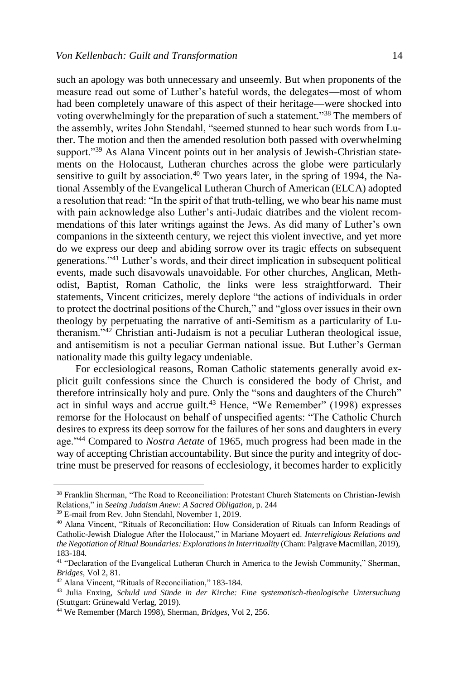such an apology was both unnecessary and unseemly. But when proponents of the measure read out some of Luther's hateful words, the delegates—most of whom had been completely unaware of this aspect of their heritage—were shocked into voting overwhelmingly for the preparation of such a statement."<sup>38</sup> The members of the assembly, writes John Stendahl, "seemed stunned to hear such words from Luther. The motion and then the amended resolution both passed with overwhelming support."<sup>39</sup> As Alana Vincent points out in her analysis of Jewish-Christian statements on the Holocaust, Lutheran churches across the globe were particularly sensitive to guilt by association.<sup>40</sup> Two years later, in the spring of 1994, the National Assembly of the Evangelical Lutheran Church of American (ELCA) adopted a resolution that read: "In the spirit of that truth-telling, we who bear his name must with pain acknowledge also Luther's anti-Judaic diatribes and the violent recommendations of this later writings against the Jews. As did many of Luther's own companions in the sixteenth century, we reject this violent invective, and yet more do we express our deep and abiding sorrow over its tragic effects on subsequent generations."<sup>41</sup> Luther's words, and their direct implication in subsequent political events, made such disavowals unavoidable. For other churches, Anglican, Methodist, Baptist, Roman Catholic, the links were less straightforward. Their statements, Vincent criticizes, merely deplore "the actions of individuals in order to protect the doctrinal positions of the Church," and "gloss over issues in their own theology by perpetuating the narrative of anti-Semitism as a particularity of Lutheranism."<sup>42</sup> Christian anti-Judaism is not a peculiar Lutheran theological issue, and antisemitism is not a peculiar German national issue. But Luther's German nationality made this guilty legacy undeniable.

For ecclesiological reasons, Roman Catholic statements generally avoid explicit guilt confessions since the Church is considered the body of Christ, and therefore intrinsically holy and pure. Only the "sons and daughters of the Church" act in sinful ways and accrue guilt.<sup>43</sup> Hence, "We Remember" (1998) expresses remorse for the Holocaust on behalf of unspecified agents: "The Catholic Church desires to express its deep sorrow for the failures of her sons and daughters in every age."<sup>44</sup> Compared to *Nostra Aetate* of 1965, much progress had been made in the way of accepting Christian accountability. But since the purity and integrity of doctrine must be preserved for reasons of ecclesiology, it becomes harder to explicitly

<sup>38</sup> Franklin Sherman, "The Road to Reconciliation: Protestant Church Statements on Christian-Jewish Relations," in *Seeing Judaism Anew: A Sacred Obligation*, p. 244

<sup>39</sup> E-mail from Rev. John Stendahl, November 1, 2019.

<sup>40</sup> Alana Vincent, "Rituals of Reconciliation: How Consideration of Rituals can Inform Readings of Catholic-Jewish Dialogue After the Holocaust," in Mariane Moyaert ed. *Interreligious Relations and the Negotiation of Ritual Boundaries: Explorations in Interrituality* (Cham: Palgrave Macmillan, 2019), 183-184.

<sup>&</sup>lt;sup>41</sup> "Declaration of the Evangelical Lutheran Church in America to the Jewish Community," Sherman, *Bridges,* Vol 2, 81.

<sup>42</sup> Alana Vincent, "Rituals of Reconciliation," 183-184.

<sup>43</sup> Julia Enxing, *Schuld und Sünde in der Kirche: Eine systematisch-theologische Untersuchung* (Stuttgart: Grünewald Verlag, 2019).

<sup>44</sup> We Remember (March 1998), Sherman, *Bridges*, Vol 2, 256.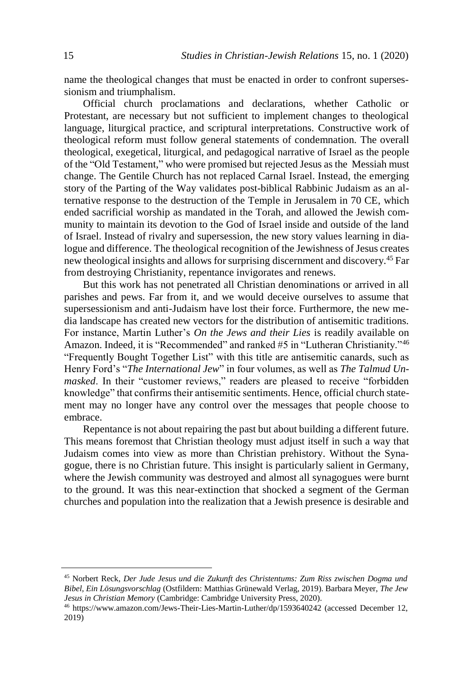name the theological changes that must be enacted in order to confront supersessionism and triumphalism.

Official church proclamations and declarations, whether Catholic or Protestant, are necessary but not sufficient to implement changes to theological language, liturgical practice, and scriptural interpretations. Constructive work of theological reform must follow general statements of condemnation. The overall theological, exegetical, liturgical, and pedagogical narrative of Israel as the people of the "Old Testament," who were promised but rejected Jesus as the Messiah must change. The Gentile Church has not replaced Carnal Israel. Instead, the emerging story of the Parting of the Way validates post-biblical Rabbinic Judaism as an alternative response to the destruction of the Temple in Jerusalem in 70 CE, which ended sacrificial worship as mandated in the Torah, and allowed the Jewish community to maintain its devotion to the God of Israel inside and outside of the land of Israel. Instead of rivalry and supersession, the new story values learning in dialogue and difference. The theological recognition of the Jewishness of Jesus creates new theological insights and allows for surprising discernment and discovery. <sup>45</sup> Far from destroying Christianity, repentance invigorates and renews.

But this work has not penetrated all Christian denominations or arrived in all parishes and pews. Far from it, and we would deceive ourselves to assume that supersessionism and anti-Judaism have lost their force. Furthermore, the new media landscape has created new vectors for the distribution of antisemitic traditions. For instance, Martin Luther's *On the Jews and their Lies* is readily available on Amazon. Indeed, it is "Recommended" and ranked #5 in "Lutheran Christianity."<sup>46</sup> "Frequently Bought Together List" with this title are antisemitic canards, such as Henry Ford's "*The International Jew*" in four volumes, as well as *The Talmud Unmasked*. In their "customer reviews," readers are pleased to receive "forbidden knowledge" that confirms their antisemitic sentiments. Hence, official church statement may no longer have any control over the messages that people choose to embrace.

Repentance is not about repairing the past but about building a different future. This means foremost that Christian theology must adjust itself in such a way that Judaism comes into view as more than Christian prehistory. Without the Synagogue, there is no Christian future. This insight is particularly salient in Germany, where the Jewish community was destroyed and almost all synagogues were burnt to the ground. It was this near-extinction that shocked a segment of the German churches and population into the realization that a Jewish presence is desirable and

<sup>45</sup> Norbert Reck, *Der Jude Jesus und die Zukunft des Christentums: Zum Riss zwischen Dogma und Bibel, Ein Lösungsvorschlag* (Ostfildern: Matthias Grünewald Verlag, 2019). Barbara Meyer, *The Jew Jesus in Christian Memory* (Cambridge: Cambridge University Press, 2020).

<sup>46</sup> https://www.amazon.com/Jews-Their-Lies-Martin-Luther/dp/1593640242 (accessed December 12, 2019)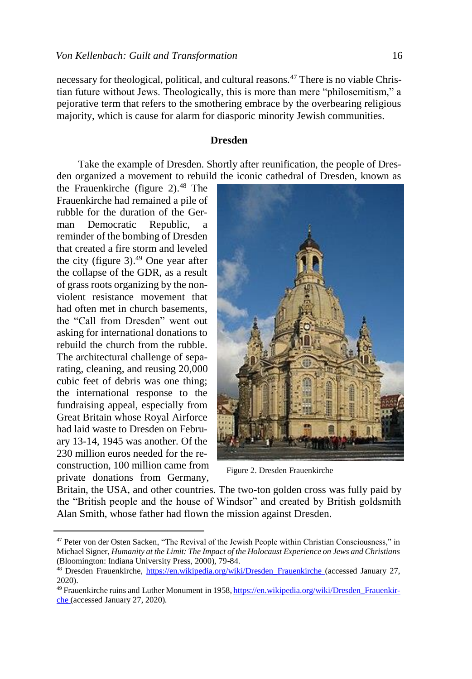necessary for theological, political, and cultural reasons.<sup>47</sup> There is no viable Christian future without Jews. Theologically, this is more than mere "philosemitism," a pejorative term that refers to the smothering embrace by the overbearing religious majority, which is cause for alarm for diasporic minority Jewish communities.

#### **Dresden**

Take the example of Dresden. Shortly after reunification, the people of Dresden organized a movement to rebuild the iconic cathedral of Dresden, known as

the Frauenkirche (figure 2). <sup>48</sup> The Frauenkirche had remained a pile of rubble for the duration of the German Democratic Republic, a reminder of the bombing of Dresden that created a fire storm and leveled the city (figure 3). <sup>49</sup> One year after the collapse of the GDR, as a result of grass roots organizing by the nonviolent resistance movement that had often met in church basements, the "Call from Dresden" went out asking for international donations to rebuild the church from the rubble. The architectural challenge of separating, cleaning, and reusing 20,000 cubic feet of debris was one thing; the international response to the fundraising appeal, especially from Great Britain whose Royal Airforce had laid waste to Dresden on February 13-14, 1945 was another. Of the 230 million euros needed for the reconstruction, 100 million came from private donations from Germany,



Figure 2. Dresden Frauenkirche

Britain, the USA, and other countries. The two-ton golden cross was fully paid by the "British people and the house of Windsor" and created by British goldsmith Alan Smith, whose father had flown the mission against Dresden.

<sup>47</sup> Peter von der Osten Sacken, "The Revival of the Jewish People within Christian Consciousness," in Michael Signer, *Humanity at the Limit: The Impact of the Holocaust Experience on Jews and Christians* (Bloomington: Indiana University Press, 2000), 79-84.

<sup>48</sup> Dresden Frauenkirche, [https://en.wikipedia.org/wiki/Dresden\\_Frauenkirche](https://en.wikipedia.org/wiki/Dresden_Frauenkirche) (accessed January 27, 2020).

<sup>49</sup> Frauenkirche ruins and Luther Monument in 1958*,* [https://en.wikipedia.org/wiki/Dresden\\_Frauenkir](https://en.wikipedia.org/wiki/Dresden_Frauenkirche)[che](https://en.wikipedia.org/wiki/Dresden_Frauenkirche) (accessed January 27, 2020).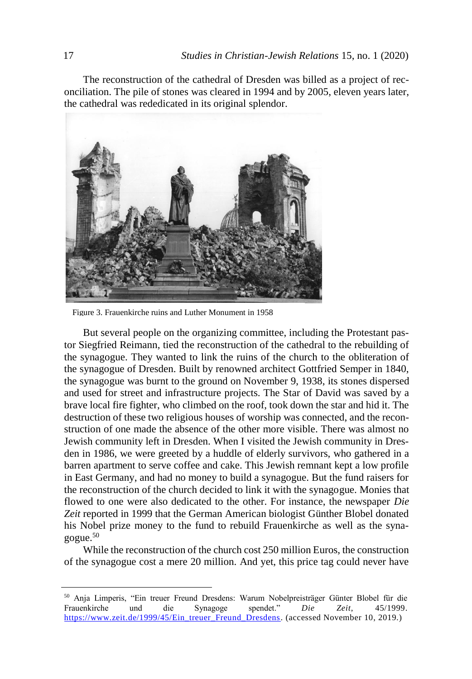The reconstruction of the cathedral of Dresden was billed as a project of reconciliation. The pile of stones was cleared in 1994 and by 2005, eleven years later, the cathedral was rededicated in its original splendor.



Figure 3. Frauenkirche ruins and Luther Monument in 1958

But several people on the organizing committee, including the Protestant pastor Siegfried Reimann, tied the reconstruction of the cathedral to the rebuilding of the synagogue. They wanted to link the ruins of the church to the obliteration of the synagogue of Dresden. Built by renowned architect Gottfried Semper in 1840, the synagogue was burnt to the ground on November 9, 1938, its stones dispersed and used for street and infrastructure projects. The Star of David was saved by a brave local fire fighter, who climbed on the roof, took down the star and hid it. The destruction of these two religious houses of worship was connected, and the reconstruction of one made the absence of the other more visible. There was almost no Jewish community left in Dresden. When I visited the Jewish community in Dresden in 1986, we were greeted by a huddle of elderly survivors, who gathered in a barren apartment to serve coffee and cake. This Jewish remnant kept a low profile in East Germany, and had no money to build a synagogue. But the fund raisers for the reconstruction of the church decided to link it with the synagogue. Monies that flowed to one were also dedicated to the other. For instance, the newspaper *Die Zeit* reported in 1999 that the German American biologist Günther Blobel donated his Nobel prize money to the fund to rebuild Frauenkirche as well as the synagogue.<sup>50</sup>

While the reconstruction of the church cost 250 million Euros, the construction of the synagogue cost a mere 20 million. And yet, this price tag could never have

<sup>50</sup> Anja Limperis, "Ein treuer Freund Dresdens: Warum Nobelpreisträger Günter Blobel für die Frauenkirche und die Synagoge spendet." *Die Zeit*, 45/1999. [https://www.zeit.de/1999/45/Ein\\_treuer\\_Freund\\_Dresdens.](https://www.zeit.de/1999/45/Ein_treuer_Freund_Dresdens) (accessed November 10, 2019.)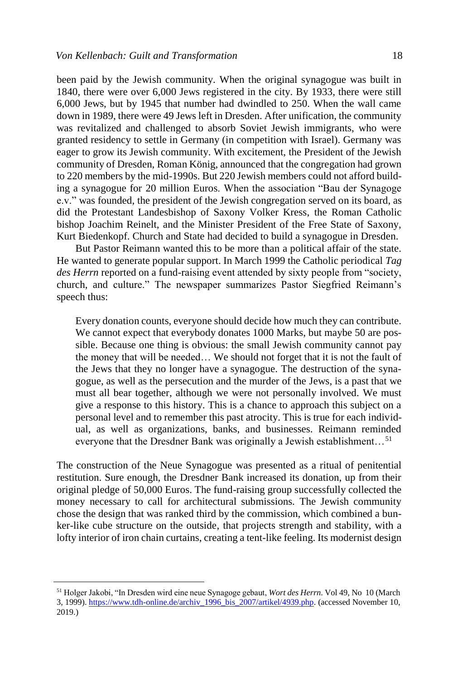been paid by the Jewish community. When the original synagogue was built in 1840, there were over 6,000 Jews registered in the city. By 1933, there were still 6,000 Jews, but by 1945 that number had dwindled to 250. When the wall came down in 1989, there were 49 Jews left in Dresden. After unification, the community was revitalized and challenged to absorb Soviet Jewish immigrants, who were granted residency to settle in Germany (in competition with Israel). Germany was eager to grow its Jewish community. With excitement, the President of the Jewish community of Dresden, Roman König, announced that the congregation had grown to 220 members by the mid-1990s. But 220 Jewish members could not afford building a synagogue for 20 million Euros. When the association "Bau der Synagoge e.v." was founded, the president of the Jewish congregation served on its board, as did the Protestant Landesbishop of Saxony Volker Kress, the Roman Catholic bishop Joachim Reinelt, and the Minister President of the Free State of Saxony, Kurt Biedenkopf. Church and State had decided to build a synagogue in Dresden.

But Pastor Reimann wanted this to be more than a political affair of the state. He wanted to generate popular support. In March 1999 the Catholic periodical *Tag des Herrn* reported on a fund-raising event attended by sixty people from "society, church, and culture." The newspaper summarizes Pastor Siegfried Reimann's speech thus:

Every donation counts, everyone should decide how much they can contribute. We cannot expect that everybody donates 1000 Marks, but maybe 50 are possible. Because one thing is obvious: the small Jewish community cannot pay the money that will be needed… We should not forget that it is not the fault of the Jews that they no longer have a synagogue. The destruction of the synagogue, as well as the persecution and the murder of the Jews, is a past that we must all bear together, although we were not personally involved. We must give a response to this history. This is a chance to approach this subject on a personal level and to remember this past atrocity. This is true for each individual, as well as organizations, banks, and businesses. Reimann reminded everyone that the Dresdner Bank was originally a Jewish establishment...<sup>51</sup>

The construction of the Neue Synagogue was presented as a ritual of penitential restitution. Sure enough, the Dresdner Bank increased its donation, up from their original pledge of 50,000 Euros. The fund-raising group successfully collected the money necessary to call for architectural submissions. The Jewish community chose the design that was ranked third by the commission, which combined a bunker-like cube structure on the outside, that projects strength and stability, with a lofty interior of iron chain curtains, creating a tent-like feeling. Its modernist design

<sup>51</sup> Holger Jakobi, "In Dresden wird eine neue Synagoge gebaut, *Wort des Herrn*. Vol 49, No 10 (March 3, 1999)[. https://www.tdh-online.de/archiv\\_1996\\_bis\\_2007/artikel/4939.php.](https://www.tdh-online.de/archiv_1996_bis_2007/artikel/4939.php) (accessed November 10, 2019.)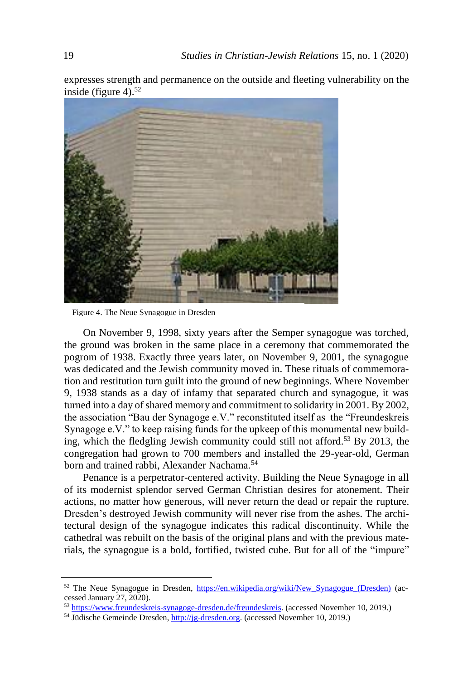expresses strength and permanence on the outside and fleeting vulnerability on the inside (figure 4). 52



Figure 4. The Neue Synagogue in Dresden

On November 9, 1998, sixty years after the Semper synagogue was torched, the ground was broken in the same place in a ceremony that commemorated the pogrom of 1938. Exactly three years later, on November 9, 2001, the synagogue was dedicated and the Jewish community moved in. These rituals of commemoration and restitution turn guilt into the ground of new beginnings. Where November 9, 1938 stands as a day of infamy that separated church and synagogue, it was turned into a day of shared memory and commitment to solidarity in 2001. By 2002, the association "Bau der Synagoge e.V." reconstituted itself as the "Freundeskreis Synagoge e.V." to keep raising funds for the upkeep of this monumental new building, which the fledgling Jewish community could still not afford.<sup>53</sup> By 2013, the congregation had grown to 700 members and installed the 29-year-old, German born and trained rabbi, Alexander Nachama.<sup>54</sup>

Penance is a perpetrator-centered activity. Building the Neue Synagoge in all of its modernist splendor served German Christian desires for atonement. Their actions, no matter how generous, will never return the dead or repair the rupture. Dresden's destroyed Jewish community will never rise from the ashes. The architectural design of the synagogue indicates this radical discontinuity. While the cathedral was rebuilt on the basis of the original plans and with the previous materials, the synagogue is a bold, fortified, twisted cube. But for all of the "impure"

53 [https://www.freundeskreis-synagoge-dresden.de/freundeskreis.](https://www.freundeskreis-synagoge-dresden.de/freundeskreis) (accessed November 10, 2019.)

<sup>52</sup> The Neue Synagogue in Dresden, [https://en.wikipedia.org/wiki/New\\_Synagogue\\_\(Dresden\)](https://en.wikipedia.org/wiki/New_Synagogue_(Dresden)) (accessed January 27, 2020).

<sup>54</sup> Jüdische Gemeinde Dresden[, http://jg-dresden.org.](http://jg-dresden.org/) (accessed November 10, 2019.)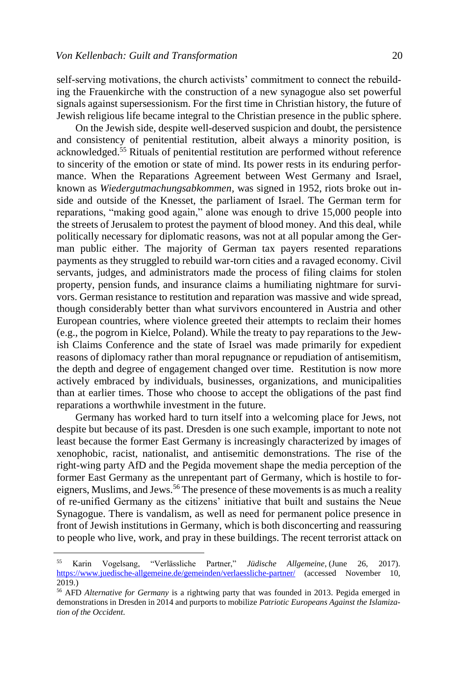self-serving motivations, the church activists' commitment to connect the rebuilding the Frauenkirche with the construction of a new synagogue also set powerful signals against supersessionism. For the first time in Christian history, the future of Jewish religious life became integral to the Christian presence in the public sphere.

On the Jewish side, despite well-deserved suspicion and doubt, the persistence and consistency of penitential restitution, albeit always a minority position, is acknowledged.<sup>55</sup> Rituals of penitential restitution are performed without reference to sincerity of the emotion or state of mind. Its power rests in its enduring performance. When the Reparations Agreement between West Germany and Israel, known as *Wiedergutmachungsabkommen,* was signed in 1952, riots broke out inside and outside of the Knesset, the parliament of Israel. The German term for reparations, "making good again," alone was enough to drive 15,000 people into the streets of Jerusalem to protest the payment of blood money. And this deal, while politically necessary for diplomatic reasons, was not at all popular among the German public either. The majority of German tax payers resented reparations payments as they struggled to rebuild war-torn cities and a ravaged economy. Civil servants, judges, and administrators made the process of filing claims for stolen property, pension funds, and insurance claims a humiliating nightmare for survivors. German resistance to restitution and reparation was massive and wide spread, though considerably better than what survivors encountered in Austria and other European countries, where violence greeted their attempts to reclaim their homes (e.g., the pogrom in Kielce, Poland). While the treaty to pay reparations to the Jewish Claims Conference and the state of Israel was made primarily for expedient reasons of diplomacy rather than moral repugnance or repudiation of antisemitism, the depth and degree of engagement changed over time. Restitution is now more actively embraced by individuals, businesses, organizations, and municipalities than at earlier times. Those who choose to accept the obligations of the past find reparations a worthwhile investment in the future.

Germany has worked hard to turn itself into a welcoming place for Jews, not despite but because of its past. Dresden is one such example, important to note not least because the former East Germany is increasingly characterized by images of xenophobic, racist, nationalist, and antisemitic demonstrations. The rise of the right-wing party AfD and the Pegida movement shape the media perception of the former East Germany as the unrepentant part of Germany, which is hostile to foreigners, Muslims, and Jews.<sup>56</sup> The presence of these movements is as much a reality of re-unified Germany as the citizens' initiative that built and sustains the Neue Synagogue. There is vandalism, as well as need for permanent police presence in front of Jewish institutions in Germany, which is both disconcerting and reassuring to people who live, work, and pray in these buildings. The recent terrorist attack on

<sup>55</sup> Karin Vogelsang, "Verlässliche Partner," *Jüdische Allgemeine*, (June 26, 2017). <https://www.juedische-allgemeine.de/gemeinden/verlaessliche-partner/> (accessed November 10, 2019.)

<sup>56</sup> AFD *Alternative for Germany* is a rightwing party that was founded in 2013. Pegida emerged in demonstrations in Dresden in 2014 and purports to mobilize *Patriotic Europeans Against the Islamization of the Occident*.